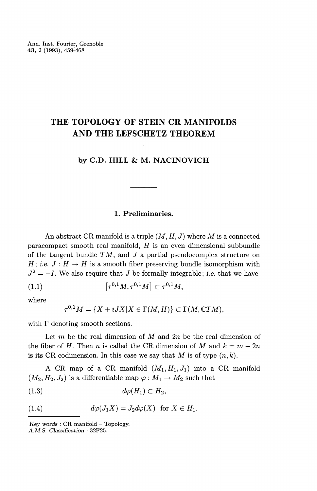# **THE TOPOLOGY OF STEIN CR MANIFOLDS AND THE LEFSCHETZ THEOREM**

## **by C.D. HILL & M. NACINOVICH**

# **1. Preliminaries.**

An abstract CR manifold is a triple  $(M, H, J)$  where M is a connected paracompact smooth real manifold, *H* is an even dimensional subbundle of the tangent bundle TM, and *J* a partial pseudocomplex structure on *H; i.e.*  $J: H \to H$  is a smooth fiber preserving bundle isomorphism with  $J^2 = -I$ . We also require that *J* be formally integrable; *i.e.* that we have

$$
(1.1) \qquad \qquad [\tau^{0,1}M, \tau^{0,1}M] \subset \tau^{0,1}M,
$$

where

$$
\tau^{0,1}M = \{X + iJX | X \in \Gamma(M, H)\} \subset \Gamma(M, CTM),
$$

with  $\Gamma$  denoting smooth sections.

Let *m* be the real dimension of *M* and *2n* be the real dimension of the fiber of *H*. Then *n* is called the CR dimension of *M* and  $k = m - 2n$ is its CR codimension. In this case we say that  $M$  is of type  $(n, k)$ .

A CR map of a CR manifold  $(M_1,H_1,J_1)$  into a CR manifold  $(M_2, H_2, J_2)$  is a differentiable map  $\varphi : M_1 \to M_2$  such that

$$
(1.3) \t d\varphi(H_1) \subset H_2,
$$

(1.4) 
$$
d\varphi(J_1X)=J_2d\varphi(X) \text{ for } X\in H_1.
$$

*Key words* : CR manifold - Topology.

A.M.S. *Classification :* 32F25.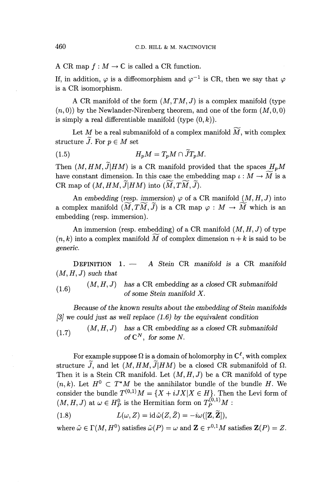A CR map  $f : M \to \mathbb{C}$  is called a CR function.

If, in addition,  $\varphi$  is a diffeomorphism and  $\varphi^{-1}$  is CR, then we say that  $\varphi$ is a CR isomorphism.

A CR manifold of the form  $(M, TM, J)$  is a complex manifold (type  $(n, 0)$  by the Newlander-Nirenberg theorem, and one of the form  $(M, 0, 0)$ is simply a real differentiable manifold (type  $(0,k)$ ).

Let  $M$  be a real submanifold of a complex manifold  $\widetilde{M},$  with complex structure  $\widetilde{J}$ . For  $p \in M$  set

$$
(1.5) \tH_pM = T_pM \cap \widetilde{J}T_pM.
$$

Then  $(M, HM, \tilde{J} | HM)$  is a CR manifold provided that the spaces  $H_nM$ have constant dimension. In this case the embedding map  $\iota : M \to \widetilde{M}$  is a CR map of  $(M, HM, \tilde{J} | HM)$  into  $(\widetilde{M}, T\widetilde{M}, \widetilde{J}).$ 

An embedding (resp. *immersion*)  $\varphi$  of a CR manifold  $(M, H, J)$  into a complex manifold  $(M,TM,\tilde{J})$  is a CR map  $\varphi : M \to \tilde{M}$  which is an embedding (resp. immersion).

An immersion (resp. embedding) of a CR manifold  $(M, H, J)$  of type  $(n, k)$  into a complex manifold  $\widetilde{M}$  of complex dimension  $n + k$  is said to be *generic.*

DEFINITION 1. — A Stein CR *manifold is a* CR *manifold*  $(M, H, J)$  *such that* 

 $(M, H, J)$  has a CR embedding as a closed CR submanifold  $(1.6)$   $(M, H, \nu)$  has a set embedding as a  $\sigma$  some Stein manifold X.

*Because of the known results about the embedding of Stein manifolds [3] we could just as well replace (1.6) by the equivalent condition*

 $(M, H, J)$  has a CR embedding as a closed CR submanifold  $(1.7)$   $(M, H, J)$  has a CI embedding<br>of  $\mathbb{C}^N$ , for some N.

For example suppose  $\Omega$  is a domain of holomorphy in  $\mathbb{C}^{\ell}$ , with complex structure  $\tilde{J}$ , and let  $(M, HM, \tilde{J}|HM)$  be a closed CR submanifold of  $\Omega$ . Then it is a Stein CR manifold. Let  $(M, H, J)$  be a CR manifold of type  $(n, k)$ . Let  $H^0 \subset T^*M$  be the annihilator bundle of the bundle H. We consider the bundle  $T^{(0,1)}M = \{X + iJX\mid X \in H\}.$  Then the Levi form of  $(M, H, J)$  at  $\omega \in H_P^0$  is the Hermitian form on  $T_P^{(0,1)}M$  :

(1.8) 
$$
L(\omega, Z) = \mathrm{id} \, \tilde{\omega}(Z, \bar{Z}) = -i\omega([\mathbf{Z}, \widetilde{\mathbf{Z}}]),
$$

where  $\tilde{\omega} \in \Gamma(M, H^0)$  satisfies  $\tilde{\omega}(P) = \omega$  and  $\mathbf{Z} \in \tau^{0,1}M$  satisfies  $\mathbf{Z}(P) = Z$ .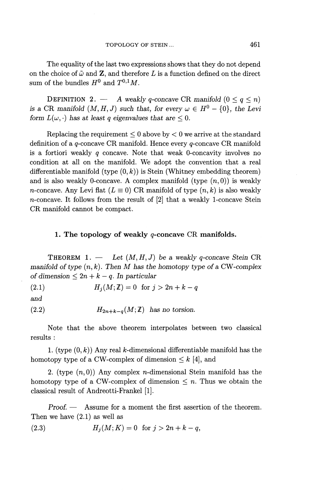The equality of the last two expressions shows that they do not depend on the choice of  $\tilde{\omega}$  and **Z**, and therefore L is a function defined on the direct sum of the bundles  $H^0$  and  $T^{0,1}M$ .

**DEFINITION 2.** — A weakly q-concave CR manifold  $(0 \leq q \leq n)$ *is a CR manifold*  $(M, H, J)$  *such that, for every*  $\omega \in H^0 - \{0\}$ *, the Levi form*  $L(\omega, \cdot)$  *has at least q eigenvalues that are*  $\leq 0$ .

Replacing the requirement  $\leq 0$  above by  $< 0$  we arrive at the standard definition of a  $q$ -concave CR manifold. Hence every  $q$ -concave CR manifold is a fortiori weakly *q* concave. Note that weak 0-concavity involves no condition at all on the manifold. We adopt the convention that a real differentiable manifold  $(type(0,k))$  is Stein (Whitney embedding theorem) and is also weakly 0-concave. A complex manifold (type  $(n,0)$ ) is weakly n-concave. Any Levi flat  $(L \equiv 0)$  CR manifold of type  $(n, k)$  is also weakly n-concave. It follows from the result of [2] that a weakly 1-concave Stein CR manifold cannot be compact.

## **1. The topology of weakly g-concave CR manifolds.**

**THEOREM** 1. — Let  $(M, H, J)$  be a weakly q-concave Stein CR *manifold of type (n,k). Then M has the homotopy type of a* CW*-complex of dimension*  $\leq 2n + k - q$ . In particular

(2.1)  $H_j(M; \mathbb{Z}) = 0$  for  $j > 2n + k - q$ 

*and*

(2.2)  $H_{2n+k-q}(M;\mathbb{Z})$  has no torsion.

Note that the above theorem interpolates between two classical results :

1. (type  $(0, k)$ ) Any real *k*-dimensional differentiable manifold has the homotopy type of a CW-complex of dimension  $\leq k$  [4], and

2. (type  $(n,0)$ ) Any complex *n*-dimensional Stein manifold has the homotopy type of a CW-complex of dimension  $\leq n$ . Thus we obtain the classical result of Andreotti-Frankel [1].

*Proof. —* Assume for a moment the first assertion of the theorem. Then we have (2.1) as well as

(2.3)  $H_j(M; K) = 0$  for  $j > 2n + k - q$ ,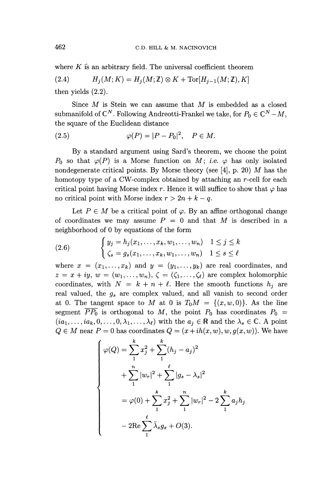where *K* is an arbitrary field. The universal coefficient theorem

(2.4)  $H_i(M; K) = H_j(M; \mathbb{Z}) \otimes K + \text{Tor}[H_{j-1}(M; \mathbb{Z}), K]$ 

then yields (2.2).

Since *M* is Stein we can assume that *M* is embedded *as* a closed submanifold of  $\mathbb{C}^N$ . Following Andreotti-Frankel we take, for  $P_0 \in \mathbb{C}^N - M$ the square of the Euclidean distance

$$
(2.5) \qquad \qquad \varphi(P) = |P - P_0|^2, \quad P \in M.
$$

By a standard argument using Sard's theorem, we choose the point  $P_0$  so that  $\varphi(P)$  is a Morse function on M; i.e.  $\varphi$  has only isolated nondegenerate critical points. By Morse theory (see [4], p. 20) *M* has the homotopy type of a CW-complex obtained by attaching an r-cell for each critical point having Morse index r. Hence it will suffice to show that  $\varphi$  has no critical point with Morse index  $r > 2n + k - q$ .

Let  $P \in M$  be a critical point of  $\varphi$ . By an affine orthogonal change of coordinates we may assume  $P = 0$  and that M is described in a neighborhood of 0 by equations of the form

(2.6) 
$$
\begin{cases} y_j = h_j(x_1, ..., x_k, w_1, ..., w_n) & 1 \le j \le k \\ \zeta_s = g_s(x_1, ..., x_k, w_1, ..., w_n) & 1 \le s \le \ell \end{cases}
$$

where  $x = (x_1, \ldots, x_k)$  and  $y = (y_1, \ldots, y_k)$  are real coordinates, and  $z = x + iy$ ,  $w = (w_1, \ldots, w_n)$ ,  $\zeta = (\zeta_1, \ldots, \zeta_\ell)$  are complex holomorphic coordinates, with  $N = k + n + \ell$ . Here the smooth functions  $h_j$  are real valued, the *gs* are complex valued, and all vanish to second order at 0. The tangent space to M at 0 is  $T_0M = \{(x,w,0)\}.$  As the line segment  $\overline{PP_0}$  is orthogonal to M, the point  $P_0$  has coordinates  $P_0 =$  $(ia_1, \ldots, ia_k, 0, \ldots, 0, \lambda_1, \ldots, \lambda_\ell)$  with the  $a_i \in \mathbb{R}$  and the  $\lambda_s \in \mathbb{C}$ . A point  $Q \in M$  near  $P = 0$  has coordinates  $Q = (x + ih(x, w), w, g(x, w))$ . We have

$$
\begin{cases}\n\varphi(Q) = \sum_{1}^{k} x_{j}^{2} + \sum_{1}^{k} (h_{j} - a_{j})^{2} \\
+ \sum_{1}^{n} |w_{r}|^{2} + \sum_{1}^{\ell} |g_{s} - \lambda_{s}|^{2} \\
= \varphi(0) + \sum_{1}^{k} x_{j}^{2} + \sum_{1}^{n} |w_{r}|^{2} - 2 \sum_{1}^{k} a_{j} h_{j} \\
- 2 \text{Re} \sum_{1}^{\ell} \bar{\lambda}_{s} g_{s} + O(3).\n\end{cases}
$$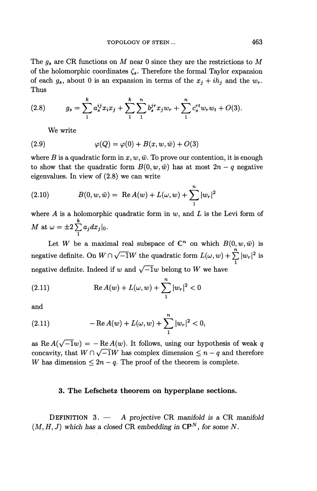The *gs* are CR functions on M near 0 since they are the restrictions to *M* of the holomorphic coordinates  $\zeta_s$ . Therefore the formal Taylor expansion of each  $g_s$ , about 0 is an expansion in terms of the  $x_j + ih_j$  and the  $w_r$ . Thus

(2.8) 
$$
g_s = \sum_{1}^{k} a_s^{ij} x_i x_j + \sum_{1}^{k} \sum_{1}^{n} b_s^{j} x_j w_r + \sum_{1}^{n} c_s^{r} w_r w_t + O(3).
$$

We write

(2.9) 
$$
\varphi(Q) = \varphi(0) + B(x, w, \bar{w}) + O(3)
$$

where *B* is a quadratic form in  $x, w, \bar{w}$ . To prove our contention, it is enough to show that the quadratic form  $B(0, w, \bar{w})$  has at most  $2n - q$  negative eigenvalues. In view of (2.8) we can write

(2.10) 
$$
B(0, w, \bar{w}) = \text{Re } A(w) + L(\omega, w) + \sum_{1}^{n} |w_r|^2
$$

where A is a holomorphic quadratic form in w, and *L* is the Levi form of  $M$  at  $\omega = \pm 2 \sum_{i=1}^{k} a_j dx_j\vert_0.$ i

Let W be a maximal real subspace of  $\mathbb{C}^n$  on which  $B(0, w, \bar{w})$  is negative definite. On  $W \cap \sqrt{-1}W$  the quadratic form  $L(\omega, w) + \sum_{1}^{n} |w_r|^2$  is negative definite. Indeed if w and  $\sqrt{-1}w$  belong to W we have

(2.11) 
$$
\operatorname{Re} A(w) + L(\omega, w) + \sum_{1}^{n} |w_r|^2 < 0
$$

and

(2.11) 
$$
- \operatorname{Re} A(w) + L(\omega, w) + \sum_{1}^{n} |w_r|^2 < 0,
$$

as Re $A(\sqrt{-1}w) = -\text{Re }A(w)$ . It follows, using our hypothesis of weak q concavity, that  $W \cap \sqrt{-1}W$  has complex dimension  $\leq n - q$  and therefore *W* has dimension  $\leq 2n - q$ . The proof of the theorem is complete.

#### **3. The Lefschetz theorem on hyperplane sections.**

DEFINITION 3. — A projective CR manifold is a CR manifold  $(M, H, J)$  which has a closed CR embedding in  $\mathbb{CP}^N$ , for some N.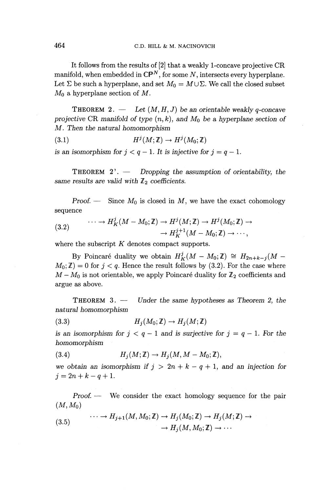It follows from the results of [2] that a weakly 1-concave projective CR manifold, when embedded in  $\mathbb{CP}^N$ , for some N, intersects every hyperplane. Let  $\Sigma$  be such a hyperplane, and set  $M_0 = M \cup \Sigma$ . We call the closed subset  $M_0$  a hyperplane section of M.

**THEOREM 2.**  $\qquad$  Let  $(M, H, J)$  be an orientable weakly q-concave projective CR manifold of type  $(n, k)$ , and  $M_0$  be a hyperplane section of *M. Then the natural homomorphism*

(3.1)  $H^j(M;\mathbb{Z}) \to H^j(M_0;\mathbb{Z})$ 

is an isomorphism for  $j < q - 1$ . It is injective for  $j = q - 1$ .

THEOREM 2'. — Dropping the assumption of orientability, the same results are valid with  $\mathbb{Z}_2$  coefficients.

*Proof.* — Since  $M_0$  is closed in M, we have the exact cohomology sequence

sequence  
\n
$$
(3.2) \qquad \cdots \to H_K^j(M - M_0; \mathbb{Z}) \to H^j(M; \mathbb{Z}) \to H^j(M_0; \mathbb{Z}) \to
$$
\n
$$
\to H_K^{j+1}(M - M_0; \mathbb{Z}) \to \cdots,
$$

where the subscript *K* denotes compact supports.

By Poincaré duality we obtain  $H^j_K(M - M_0;\mathbb{Z}) \cong H_{2n+k-j}(M M_0$ ;  $\mathbb{Z}$ ) = 0 for  $j < q$ . Hence the result follows by (3.2). For the case where  $M - M_0$  is not orientable, we apply Poincaré duality for  $\mathbb{Z}_2$  coefficients and argue as above.

THEOREM 3. — *Under the same hypotheses as Theorem* 2, *the natural homomorphism*

(3.3)  $H_i(M_0;\mathbb{Z}) \to H_i(M;\mathbb{Z})$ 

is an isomorphism for  $j < q - 1$  and is surjective for  $j = q - 1$ . For the *homomorphism*

(3.4) 
$$
H_j(M;\mathbb{Z}) \to H_j(M,M-M_0;\mathbb{Z}),
$$

we obtain an isomorphism if  $j > 2n + k - q + 1$ , and an injection for  $j = 2n + k - q + 1.$ 

*Proof. —* We consider the exact homology sequence for the pair  $(M, M_0)$ 

(3.5) 
$$
\cdots \to H_{j+1}(M, M_0; \mathbb{Z}) \to H_j(M_0; \mathbb{Z}) \to H_j(M; \mathbb{Z}) \to
$$

$$
\to H_j(M, M_0; \mathbb{Z}) \to \cdots
$$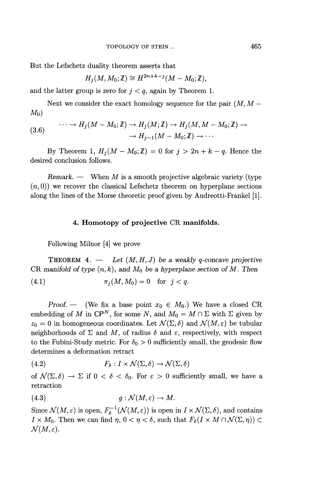But the Lefschetz duality theorem asserts that

$$
H_j(M, M_0; \mathbb{Z}) \cong H^{2n+k-j}(M - M_0; \mathbb{Z}),
$$

and the latter group is zero for  $j < q$ , again by Theorem 1.

Next we consider the exact homology sequence for the pair (M, *M — Mo)*

(3.6) 
$$
\cdots \longrightarrow H_j(M - M_0; \mathbb{Z}) \longrightarrow H_j(M; \mathbb{Z}) \longrightarrow H_j(M, M - M_0; \mathbb{Z}) \longrightarrow H_{j-1}(M - M_0; \mathbb{Z}) \longrightarrow \cdots
$$

By Theorem 1,  $H_i(M - M_0; \mathbb{Z}) = 0$  for  $j > 2n + k - q$ . Hence the desired conclusion follows.

*Remark. —* When M is a smooth projective algebraic variety (type  $(n,0)$ ) we recover the classical Lefschetz theorem on hyperplane sections along the lines of the Morse theoretic proof given by Andreotti-Frankel [1].

#### **4. Homotopy of projective CR manifolds.**

Following Milnor [4] we prove

**THEOREM 4.** — Let  $(M, H, J)$  be a weakly q-concave projective CR manifold of type  $(n, k)$ , and  $M_0$  be a hyperplane section of M. Then

(4.1) 
$$
\pi_j(M, M_0) = 0
$$
 for  $j < q$ .

*Proof.* — (We fix a base point  $x_0 \in M_0$ .) We have a closed CR embedding of M in  $\mathbb{CP}^N$ , for some N, and  $M_0 = M \cap \Sigma$  with  $\Sigma$  given by  $z_0 = 0$  in homogeneous coordinates. Let  $\mathcal{N}(\Sigma, \delta)$  and  $\mathcal{N}(M, \varepsilon)$  be tubular neighborhoods of  $\Sigma$  and M, of radius  $\delta$  and  $\varepsilon$ , respectively, with respect to the Fubini-Study metric. For  $\delta_0 > 0$  sufficiently small, the geodesic flow determines a deformation retract

(4.2) 
$$
F_{\delta}: I \times \mathcal{N}(\Sigma, \delta) \to \mathcal{N}(\Sigma, \delta)
$$

of  $\mathcal{N}(\Sigma,\delta) \to \Sigma$  if  $0 < \delta < \delta_0$ . For  $\varepsilon > 0$  sufficiently small, we have a retraction

(4.3) 
$$
g: \mathcal{N}(M, \varepsilon) \to M.
$$

Since  $\mathcal{N}(M,\varepsilon)$  is open,  $F_\delta^{-1}(\mathcal{N}(M,\varepsilon))$  is open in  $I \times \mathcal{N}(\Sigma, \delta)$ , and contains *I* ×  $M_0$ . Then we can find  $\eta$ ,  $0 < \eta < \delta$ , such that  $F_{\delta}(I \times M \cap \mathcal{N}(\Sigma, \eta)) \subset$  $\mathcal{N}(M,\varepsilon).$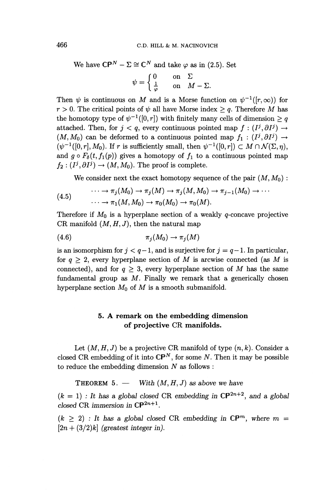We have 
$$
\mathbb{CP}^N - \Sigma \cong \mathbb{C}^N
$$
 and take  $\varphi$  as in (2.5). Set  

$$
\psi = \begin{cases} 0 & \text{on } \Sigma \\ \frac{1}{\varphi} & \text{on } M - \Sigma. \end{cases}
$$

Then  $\psi$  is continuous on M and is a Morse function on  $\psi^{-1}([r,\infty))$  for  $r > 0$ . The critical points of  $\psi$  all have Morse index  $\geq q$ . Therefore *M* has the homotopy type of  $\psi^{-1}([0,r])$  with finitely many cells of dimension  $\geq q$ attached. Then, for  $j < q$ , every continuous pointed map  $f : (I^j, \partial I^j) \rightarrow$  $(M, M_0)$  can be deformed to a continuous pointed map  $f_1 : (I^j, \partial I^j) \rightarrow$  $(\psi^{-1}([0,r], M_0)$ . If r is sufficiently small, then  $\psi^{-1}([0,r]) \subset M \cap \mathcal{N}(\Sigma,\eta)$ , and  $g \circ F_{\delta}(t, f_1(p))$  gives a homotopy of  $f_1$  to a continuous pointed map  $f_2 : (I^j, \partial I^j) \to (M, M_0)$ . The proof is complete.

We consider next the exact homotopy sequence of the pair  $(M, M_0)$ :

(4.5) 
$$
\cdots \to \pi_j(M_0) \to \pi_j(M) \to \pi_j(M, M_0) \to \pi_{j-1}(M_0) \to \cdots
$$

$$
\cdots \to \pi_1(M, M_0) \to \pi_0(M_0) \to \pi_0(M).
$$

Therefore if  $M_0$  is a hyperplane section of a weakly  $q$ -concave projective CR manifold  $(M, H, J)$ , then the natural map

$$
(4.6) \t\t \pi_j(M_0) \to \pi_j(M)
$$

is an isomorphism for  $j < q-1$ , and is surjective for  $j = q-1$ . In particular, for  $q \geq 2$ , every hyperplane section of M is arcwise connected (as M is connected), and for  $q \geq 3$ , every hyperplane section of M has the same fundamental group as  $M$ . Finally we remark that a generically chosen hyperplane section  $M_0$  of  $M$  is a smooth submanifold.

# **5. A remark on the embedding dimension of projective CR manifolds.**

Let  $(M, H, J)$  be a projective CR manifold of type  $(n, k)$ . Consider a closed CR embedding of it into  $\mathbb{CP}^N$ , for some N. Then it may be possible to reduce the embedding dimension *N* as follows :

**THEOREM** 5. — With  $(M, H, J)$  as above we have

 $(k = 1)$ : It has a global closed CR embedding in  $\mathbb{C}P^{2n+2}$ , and a global *closed* CR *immersion* in  $\mathbb{CP}^{2n+1}$ .

 $(k \geq 2)$ : It has a global closed CR embedding in  $\mathbb{CP}^m$ , where  $m =$  $[2n + (3/2)k]$  (greatest integer in).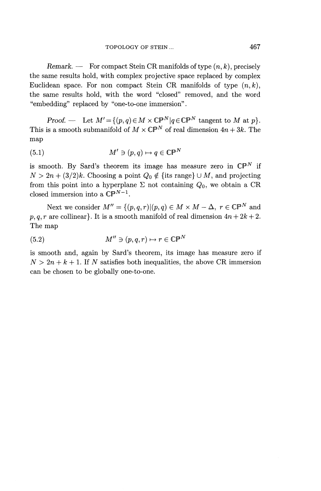*Remark.* — For compact Stein CR manifolds of type  $(n, k)$ , precisely the same results hold, with complex projective space replaced by complex Euclidean space. For non compact Stein CR manifolds of type  $(n, k)$ , the same results hold, with the word "closed" removed, and the word "embedding" replaced by "one-to-one immersion".

*Proof.* — Let  $M' = \{(p, q) \in M \times \mathbb{CP}^N | q \in \mathbb{CP}^N \text{ tangent to } M \text{ at } p\}.$ This is a smooth submanifold of  $M \times \mathbb{CP}^N$  of real dimension  $4n + 3k$ . The map

(5.1) 
$$
M' \ni (p, q) \mapsto q \in \mathbb{CP}^N
$$

is smooth. By Sard's theorem its image has measure zero in  $\mathbb{CP}^N$  if  $N > 2n + (3/2)k$ . Choosing a point  $Q_0 \notin \{$ its range $\} \cup M$ , and projecting from this point into a hyperplane  $\Sigma$  not containing  $Q_0$ , we obtain a CR closed immersion into a  $\mathbb{CP}^{N-1}$ .

Next we consider  $M'' = \{(p,q,r) | (p,q) \in M \times M - \Delta, r \in \mathbb{CP}^N \text{ and }$  $p, q, r$  are collinear}. It is a smooth manifold of real dimension  $4n + 2k + 2$ . The map

(5.2) 
$$
M'' \ni (p, q, r) \mapsto r \in \mathbb{CP}^N
$$

is smooth and, again by Sard's theorem, its image has measure zero if  $N>2n+k+1$ . If N satisfies both inequalities, the above CR immersion can be chosen to be globally one-to-one.